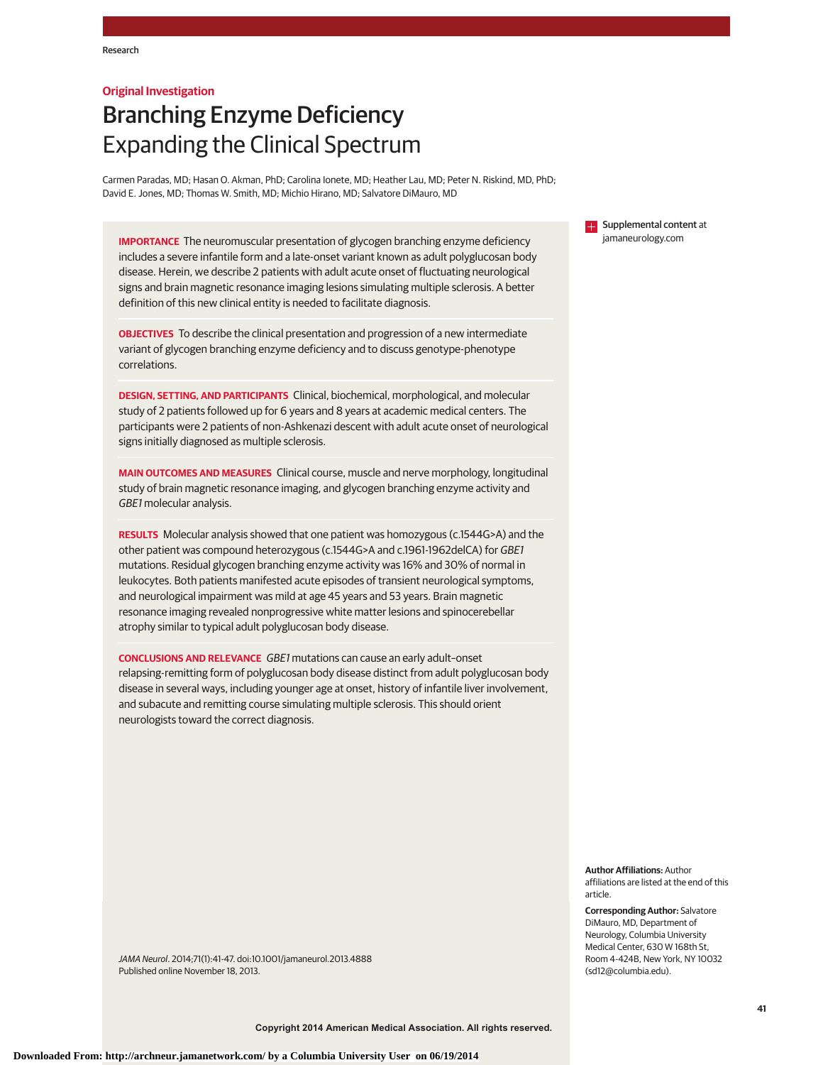## **Original Investigation**

# Branching Enzyme Deficiency Expanding the Clinical Spectrum

Carmen Paradas, MD; Hasan O. Akman, PhD; Carolina Ionete, MD; Heather Lau, MD; Peter N. Riskind, MD, PhD; David E. Jones, MD; Thomas W. Smith, MD; Michio Hirano, MD; Salvatore DiMauro, MD

**IMPORTANCE** The neuromuscular presentation of glycogen branching enzyme deficiency includes a severe infantile form and a late-onset variant known as adult polyglucosan body disease. Herein, we describe 2 patients with adult acute onset of fluctuating neurological signs and brain magnetic resonance imaging lesions simulating multiple sclerosis. A better definition of this new clinical entity is needed to facilitate diagnosis.

**OBJECTIVES** To describe the clinical presentation and progression of a new intermediate variant of glycogen branching enzyme deficiency and to discuss genotype-phenotype correlations.

**DESIGN, SETTING, AND PARTICIPANTS** Clinical, biochemical, morphological, and molecular study of 2 patients followed up for 6 years and 8 years at academic medical centers. The participants were 2 patients of non-Ashkenazi descent with adult acute onset of neurological signs initially diagnosed as multiple sclerosis.

**MAIN OUTCOMES AND MEASURES** Clinical course, muscle and nerve morphology, longitudinal study of brain magnetic resonance imaging, and glycogen branching enzyme activity and GBE1 molecular analysis.

**RESULTS** Molecular analysis showed that one patient was homozygous (c.1544G>A) and the other patient was compound heterozygous (c.1544G>A and c.1961-1962delCA) for GBE1 mutations. Residual glycogen branching enzyme activity was 16% and 30% of normal in leukocytes. Both patients manifested acute episodes of transient neurological symptoms, and neurological impairment was mild at age 45 years and 53 years. Brain magnetic resonance imaging revealed nonprogressive white matter lesions and spinocerebellar atrophy similar to typical adult polyglucosan body disease.

**CONCLUSIONS AND RELEVANCE** GBE1 mutations can cause an early adult–onset relapsing-remitting form of polyglucosan body disease distinct from adult polyglucosan body disease in several ways, including younger age at onset, history of infantile liver involvement, and subacute and remitting course simulating multiple sclerosis. This should orient neurologists toward the correct diagnosis.

**Supplemental content at** jamaneurology.com

**Author Affiliations:** Author affiliations are listed at the end of this article.

**Corresponding Author:** Salvatore DiMauro, MD, Department of Neurology, Columbia University Medical Center, 630 W 168th St, Room 4-424B, New York, NY 10032 (sd12@columbia.edu).

JAMA Neurol. 2014;71(1):41-47. doi:10.1001/jamaneurol.2013.4888 Published online November 18, 2013.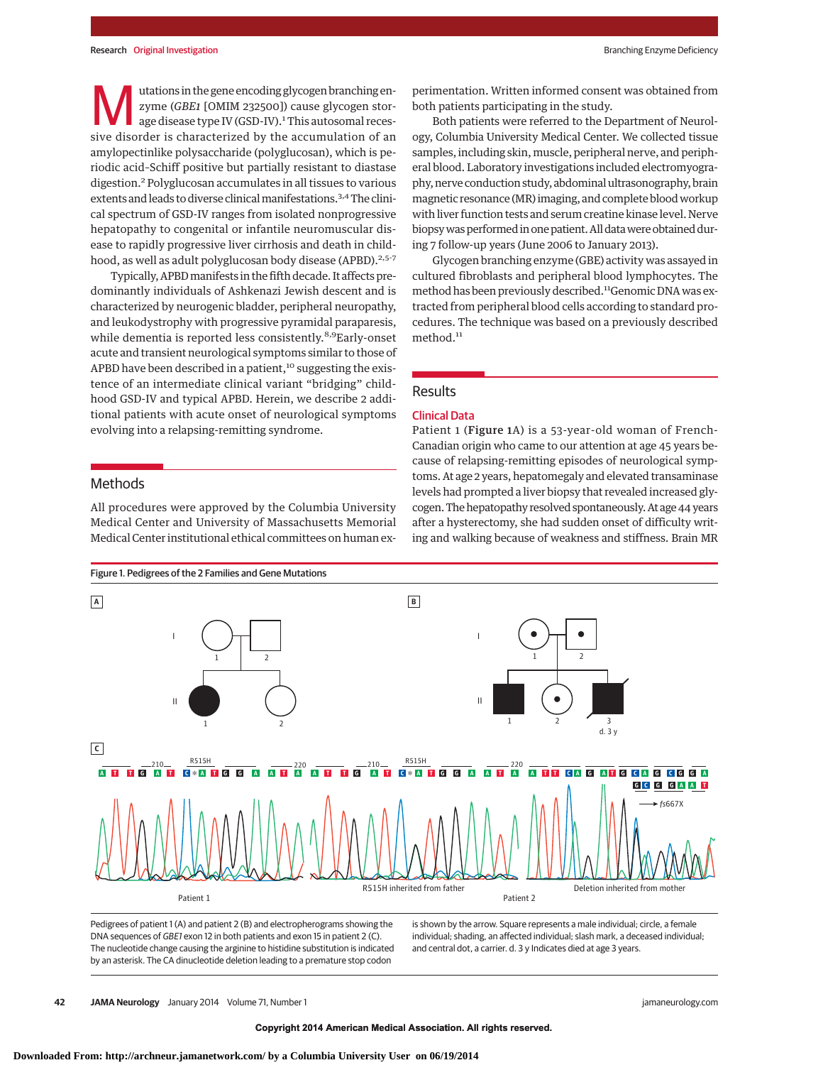utations in the gene encoding glycogen branching enzyme (*GBE1* [OMIM 232500]) cause glycogen storage disease type IV (GSD-IV).<sup>1</sup> This autosomal recessive disorder is characterized by the accumulation of an amylopectinlike polysaccharide (polyglucosan), which is periodic acid–Schiff positive but partially resistant to diastase digestion.<sup>2</sup> Polyglucosan accumulates in all tissues to various extents and leads to diverse clinical manifestations.<sup>3,4</sup> The clinical spectrum of GSD-IV ranges from isolated nonprogressive hepatopathy to congenital or infantile neuromuscular disease to rapidly progressive liver cirrhosis and death in childhood, as well as adult polyglucosan body disease (APBD).<sup>2,5-7</sup>

Typically, APBDmanifests in the fifth decade. It affects predominantly individuals of Ashkenazi Jewish descent and is characterized by neurogenic bladder, peripheral neuropathy, and leukodystrophy with progressive pyramidal paraparesis, while dementia is reported less consistently.<sup>8,9</sup>Early-onset acute and transient neurological symptoms similar to those of APBD have been described in a patient,<sup>10</sup> suggesting the existence of an intermediate clinical variant "bridging" childhood GSD-IV and typical APBD. Herein, we describe 2 additional patients with acute onset of neurological symptoms evolving into a relapsing-remitting syndrome.

# Methods

All procedures were approved by the Columbia University Medical Center and University of Massachusetts Memorial Medical Center institutional ethical committees on human experimentation. Written informed consent was obtained from both patients participating in the study.

Both patients were referred to the Department of Neurology, Columbia University Medical Center. We collected tissue samples, including skin, muscle, peripheral nerve, and peripheral blood. Laboratory investigations included electromyography, nerve conduction study, abdominal ultrasonography, brain magnetic resonance (MR) imaging, and complete bloodworkup with liver function tests and serum creatine kinase level. Nerve biopsy was performed in one patient. All data were obtained during 7 follow-up years (June 2006 to January 2013).

Glycogen branching enzyme (GBE) activity was assayed in cultured fibroblasts and peripheral blood lymphocytes. The method has been previously described.<sup>11</sup>Genomic DNA was extracted from peripheral blood cells according to standard procedures. The technique was based on a previously described method.<sup>11</sup>

# **Results**

## Clinical Data

Patient 1 (Figure 1A) is a 53-year-old woman of French-Canadian origin who came to our attention at age 45 years because of relapsing-remitting episodes of neurological symptoms. At age 2 years, hepatomegaly and elevated transaminase levels had prompted a liver biopsy that revealed increased glycogen.The hepatopathy resolved spontaneously. At age 44 years after a hysterectomy, she had sudden onset of difficulty writing and walking because of weakness and stiffness. Brain MR



Pedigrees of patient 1 (A) and patient 2 (B) and electropherograms showing the DNA sequences of GBE1 exon 12 in both patients and exon 15 in patient 2 (C). The nucleotide change causing the arginine to histidine substitution is indicated by an asterisk. The CA dinucleotide deletion leading to a premature stop codon

is shown by the arrow. Square represents a male individual; circle, a female individual; shading, an affected individual; slash mark, a deceased individual; and central dot, a carrier. d. 3 y Indicates died at age 3 years.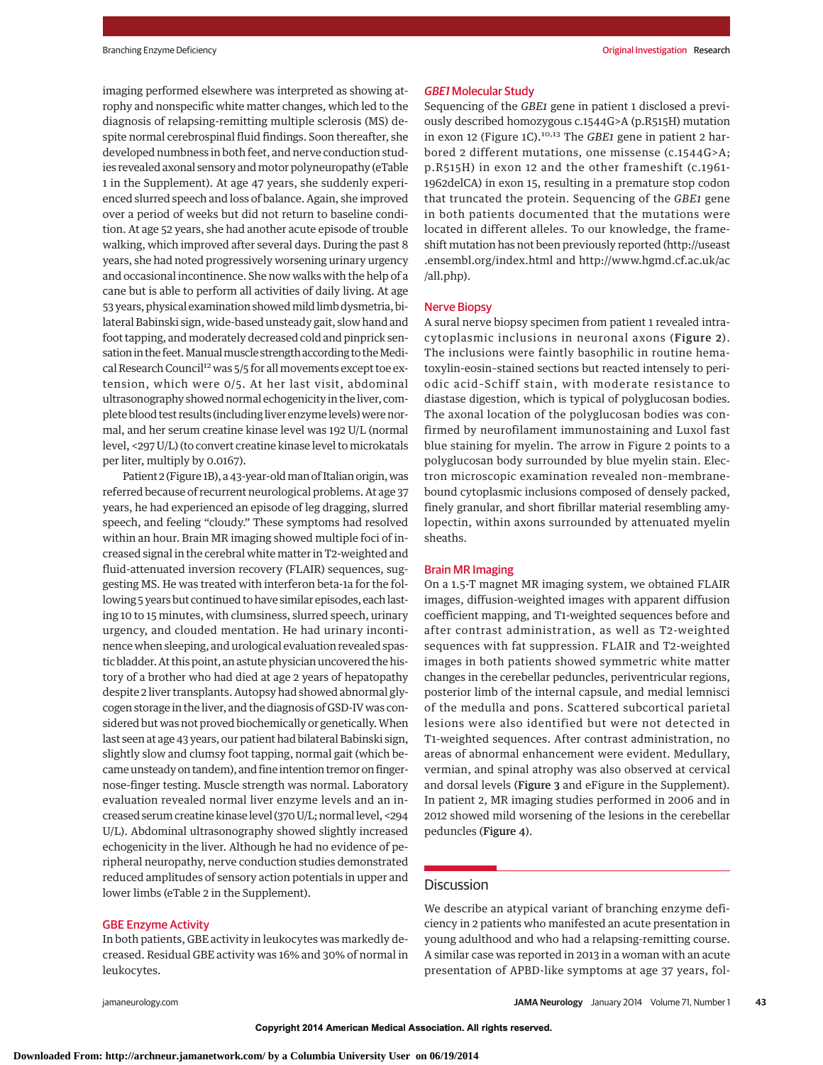imaging performed elsewhere was interpreted as showing atrophy and nonspecific white matter changes, which led to the diagnosis of relapsing-remitting multiple sclerosis (MS) despite normal cerebrospinal fluid findings. Soon thereafter, she developed numbness in both feet, and nerve conduction studies revealed axonal sensory and motor polyneuropathy (eTable 1 in the Supplement). At age 47 years, she suddenly experienced slurred speech and loss of balance. Again, she improved over a period of weeks but did not return to baseline condition. At age 52 years, she had another acute episode of trouble walking, which improved after several days. During the past 8 years, she had noted progressively worsening urinary urgency and occasional incontinence. She now walks with the help of a cane but is able to perform all activities of daily living. At age 53 years, physical examination showed mild limb dysmetria, bilateral Babinski sign, wide-based unsteady gait, slow hand and foot tapping, and moderately decreased cold and pinprick sensation in the feet. Manual muscle strength according to the Medical Research Council<sup>12</sup> was 5/5 for all movements except toe extension, which were 0/5. At her last visit, abdominal ultrasonography showed normal echogenicity in the liver, complete blood test results (including liver enzyme levels) were normal, and her serum creatine kinase level was 192 U/L (normal level, <297 U/L) (to convert creatine kinase level to microkatals per liter, multiply by 0.0167).

Patient 2 (Figure 1B), a 43-year-oldman of Italian origin,was referred because of recurrent neurological problems. At age 37 years, he had experienced an episode of leg dragging, slurred speech, and feeling "cloudy." These symptoms had resolved within an hour. Brain MR imaging showed multiple foci of increased signal in the cerebral white matter in T2-weighted and fluid-attenuated inversion recovery (FLAIR) sequences, suggesting MS. He was treated with interferon beta-1a for the following 5 years but continued to have similar episodes, each lasting 10 to 15 minutes, with clumsiness, slurred speech, urinary urgency, and clouded mentation. He had urinary incontinence when sleeping, and urological evaluation revealed spastic bladder. At this point, an astute physician uncovered the history of a brother who had died at age 2 years of hepatopathy despite 2 liver transplants. Autopsy had showed abnormal glycogen storage in the liver, and the diagnosis of GSD-IV was considered but was not proved biochemically or genetically.When last seen at age 43 years, our patient had bilateral Babinski sign, slightly slow and clumsy foot tapping, normal gait (which became unsteady on tandem), and fine intention tremor on fingernose-finger testing. Muscle strength was normal. Laboratory evaluation revealed normal liver enzyme levels and an increased serum creatine kinase level (370 U/L; normal level, <294 U/L). Abdominal ultrasonography showed slightly increased echogenicity in the liver. Although he had no evidence of peripheral neuropathy, nerve conduction studies demonstrated reduced amplitudes of sensory action potentials in upper and lower limbs (eTable 2 in the Supplement).

## GBE Enzyme Activity

In both patients, GBE activity in leukocytes was markedly decreased. Residual GBE activity was 16% and 30% of normal in leukocytes.

#### GBE1 Molecular Study

Sequencing of the *GBE1* gene in patient 1 disclosed a previously described homozygous c.1544G>A (p.R515H) mutation in exon 12 (Figure 1C).10,13 The *GBE1* gene in patient 2 harbored 2 different mutations, one missense (c.1544G>A; p.R515H) in exon 12 and the other frameshift (c.1961- 1962delCA) in exon 15, resulting in a premature stop codon that truncated the protein. Sequencing of the *GBE1* gene in both patients documented that the mutations were located in different alleles. To our knowledge, the frameshift mutation has not been previously reported (http://useast .ensembl.org/index.html and http://www.hgmd.cf.ac.uk/ac /all.php).

#### Nerve Biopsy

A sural nerve biopsy specimen from patient 1 revealed intracytoplasmic inclusions in neuronal axons (Figure 2). The inclusions were faintly basophilic in routine hematoxylin-eosin–stained sections but reacted intensely to periodic acid–Schiff stain, with moderate resistance to diastase digestion, which is typical of polyglucosan bodies. The axonal location of the polyglucosan bodies was confirmed by neurofilament immunostaining and Luxol fast blue staining for myelin. The arrow in Figure 2 points to a polyglucosan body surrounded by blue myelin stain. Electron microscopic examination revealed non–membranebound cytoplasmic inclusions composed of densely packed, finely granular, and short fibrillar material resembling amylopectin, within axons surrounded by attenuated myelin sheaths.

#### Brain MR Imaging

On a 1.5-T magnet MR imaging system, we obtained FLAIR images, diffusion-weighted images with apparent diffusion coefficient mapping, and T1-weighted sequences before and after contrast administration, as well as T2-weighted sequences with fat suppression. FLAIR and T2-weighted images in both patients showed symmetric white matter changes in the cerebellar peduncles, periventricular regions, posterior limb of the internal capsule, and medial lemnisci of the medulla and pons. Scattered subcortical parietal lesions were also identified but were not detected in T1-weighted sequences. After contrast administration, no areas of abnormal enhancement were evident. Medullary, vermian, and spinal atrophy was also observed at cervical and dorsal levels (Figure 3 and eFigure in the Supplement). In patient 2, MR imaging studies performed in 2006 and in 2012 showed mild worsening of the lesions in the cerebellar peduncles (Figure 4).

#### **Discussion**

We describe an atypical variant of branching enzyme deficiency in 2 patients who manifested an acute presentation in young adulthood and who had a relapsing-remitting course. A similar case was reported in 2013 in a woman with an acute presentation of APBD-like symptoms at age 37 years, fol-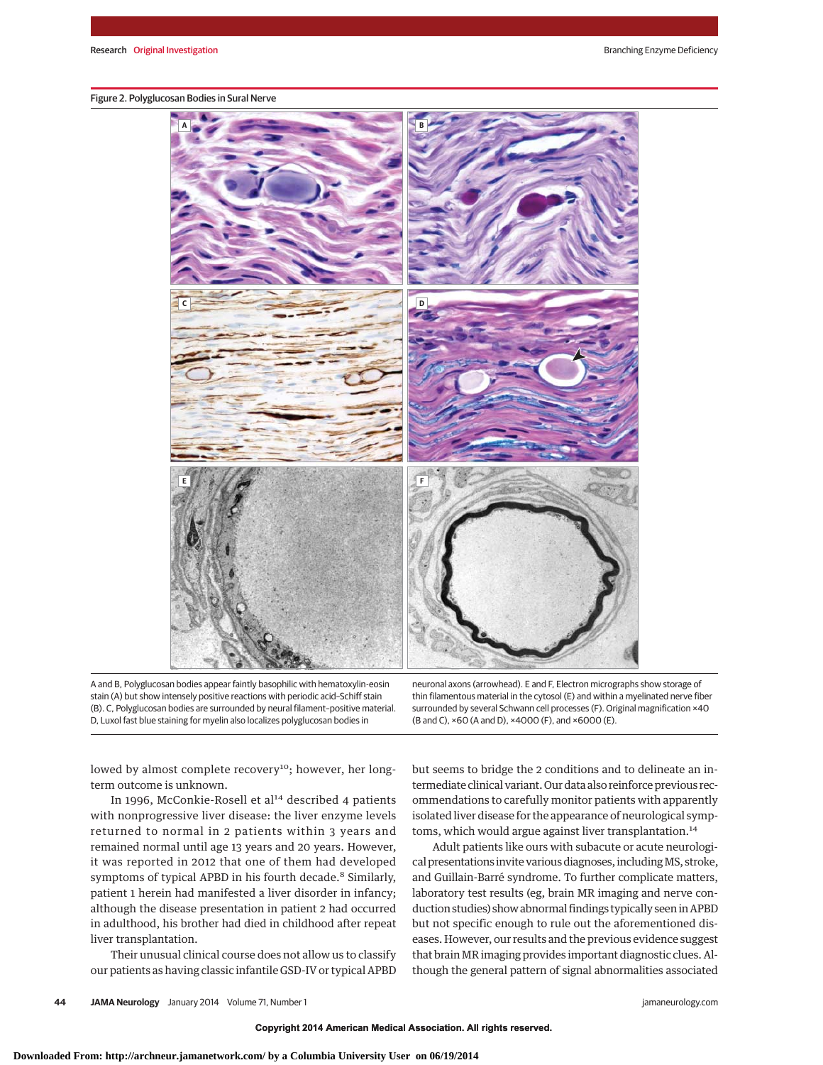#### Figure 2. Polyglucosan Bodies in Sural Nerve



A and B, Polyglucosan bodies appear faintly basophilic with hematoxylin-eosin stain (A) but show intensely positive reactions with periodic acid–Schiff stain (B). C, Polyglucosan bodies are surrounded by neural filament–positive material. D, Luxol fast blue staining for myelin also localizes polyglucosan bodies in

neuronal axons (arrowhead). E and F, Electron micrographs show storage of thin filamentous material in the cytosol (E) and within a myelinated nerve fiber surrounded by several Schwann cell processes (F). Original magnification ×40 (B and C), ×60 (A and D), ×4000 (F), and ×6000 (E).

lowed by almost complete recovery<sup>10</sup>; however, her longterm outcome is unknown.

In 1996, McConkie-Rosell et al<sup>14</sup> described 4 patients with nonprogressive liver disease: the liver enzyme levels returned to normal in 2 patients within 3 years and remained normal until age 13 years and 20 years. However, it was reported in 2012 that one of them had developed symptoms of typical APBD in his fourth decade.<sup>8</sup> Similarly, patient 1 herein had manifested a liver disorder in infancy; although the disease presentation in patient 2 had occurred in adulthood, his brother had died in childhood after repeat liver transplantation.

Their unusual clinical course does not allow us to classify our patients as having classic infantile GSD-IV or typical APBD but seems to bridge the 2 conditions and to delineate an intermediate clinical variant. Our data also reinforce previous recommendations to carefully monitor patients with apparently isolated liver disease for the appearance of neurological symptoms, which would argue against liver transplantation.<sup>14</sup>

Adult patients like ours with subacute or acute neurological presentations invite various diagnoses, includingMS, stroke, and Guillain-Barré syndrome. To further complicate matters, laboratory test results (eg, brain MR imaging and nerve conduction studies) show abnormal findings typically seen in APBD but not specific enough to rule out the aforementioned diseases. However, our results and the previous evidence suggest that brain MR imaging provides important diagnostic clues. Although the general pattern of signal abnormalities associated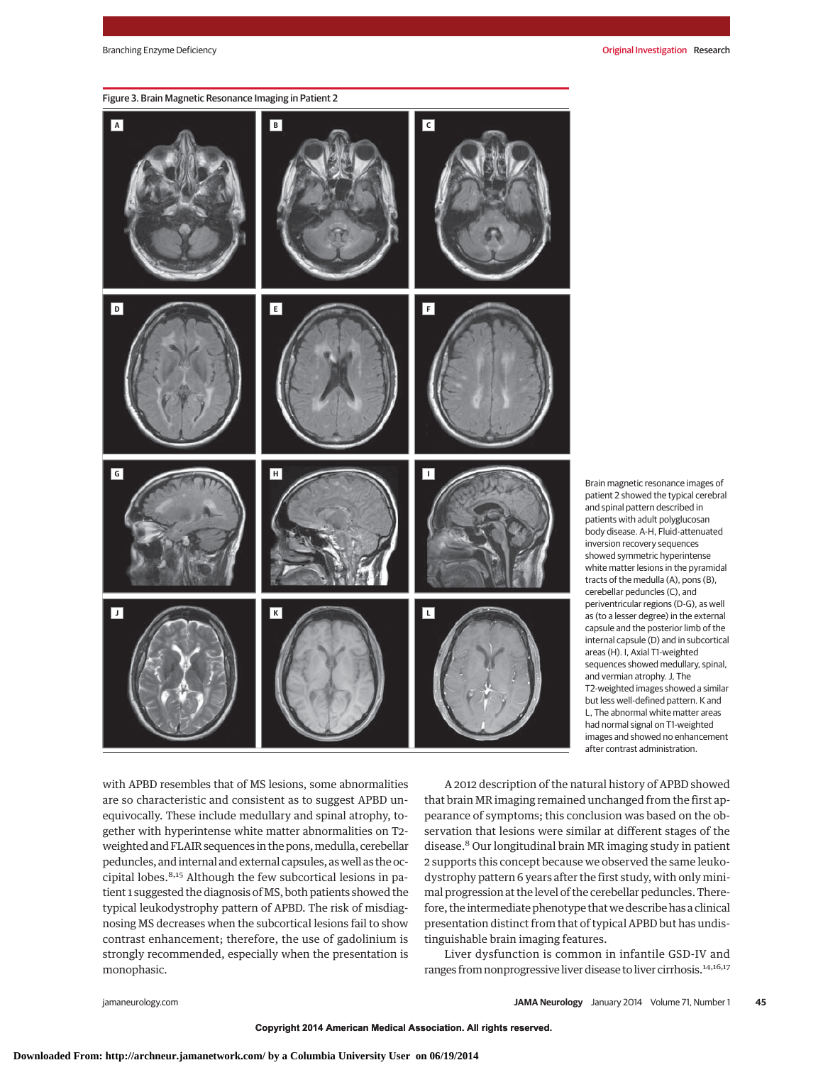

Brain magnetic resonance images of patient 2 showed the typical cerebral and spinal pattern described in patients with adult polyglucosan body disease. A-H, Fluid-attenuated inversion recovery sequences showed symmetric hyperintense white matter lesions in the pyramidal tracts of the medulla (A), pons (B), cerebellar peduncles (C), and periventricular regions (D-G), as well as (to a lesser degree) in the external capsule and the posterior limb of the internal capsule (D) and in subcortical areas (H). I, Axial T1-weighted sequences showed medullary, spinal, and vermian atrophy. J, The T2-weighted images showed a similar but less well-defined pattern. K and L, The abnormal white matter areas had normal signal on T1-weighted images and showed no enhancement after contrast administration.

with APBD resembles that of MS lesions, some abnormalities are so characteristic and consistent as to suggest APBD unequivocally. These include medullary and spinal atrophy, together with hyperintense white matter abnormalities on T2 weighted and FLAIR sequences in the pons, medulla, cerebellar peduncles, and internal and external capsules, as well as the occipital lobes.8,15 Although the few subcortical lesions in patient 1 suggested the diagnosis of MS, both patients showed the typical leukodystrophy pattern of APBD. The risk of misdiagnosing MS decreases when the subcortical lesions fail to show contrast enhancement; therefore, the use of gadolinium is strongly recommended, especially when the presentation is monophasic.

A 2012 description of the natural history of APBD showed that brain MR imaging remained unchanged from the first appearance of symptoms; this conclusion was based on the observation that lesions were similar at different stages of the disease.8 Our longitudinal brain MR imaging study in patient 2 supports this concept because we observed the same leukodystrophy pattern 6 years after the first study, with only minimal progression at the level of the cerebellar peduncles. Therefore, the intermediate phenotype that we describe has a clinical presentation distinct from that of typical APBD but has undistinguishable brain imaging features.

Liver dysfunction is common in infantile GSD-IV and ranges from nonprogressive liver disease to liver cirrhosis.<sup>14,16,17</sup>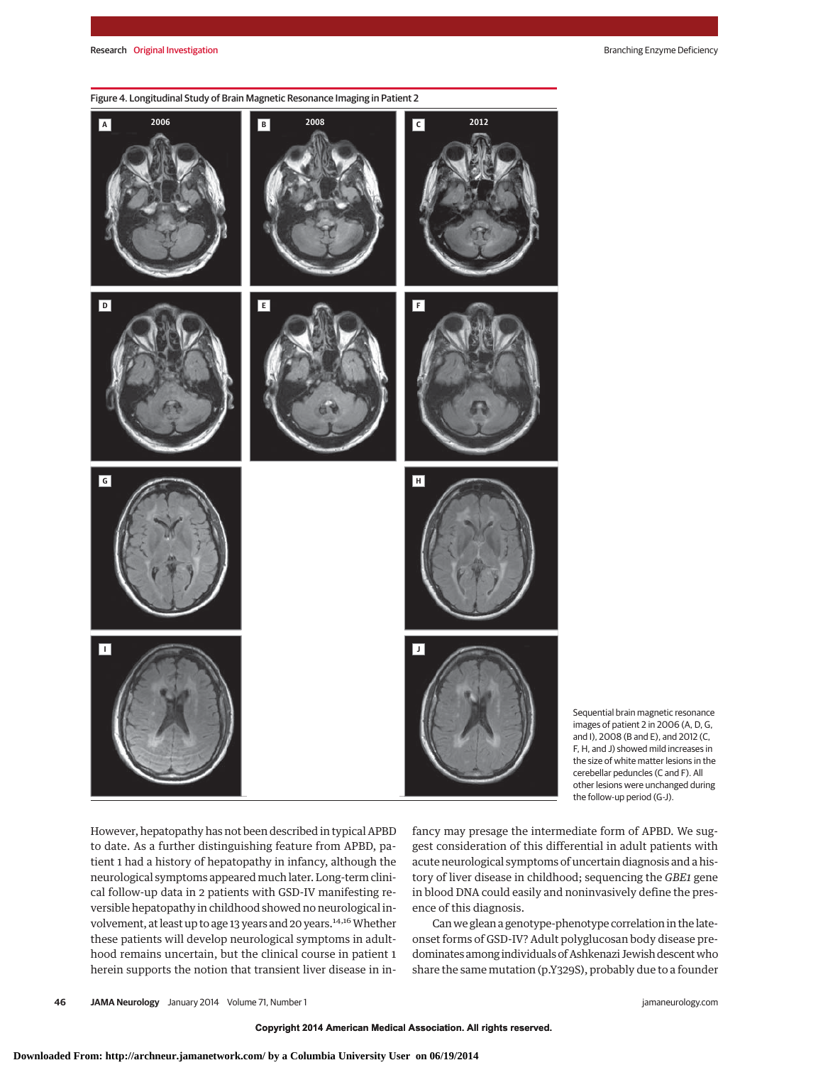

Sequential brain magnetic resonance images of patient 2 in 2006 (A, D, G, and I), 2008 (B and E), and 2012 (C, F, H, and J) showed mild increases in the size of white matter lesions in the cerebellar peduncles (C and F). All other lesions were unchanged during the follow-up period (G-J).

However, hepatopathy has not been described in typical APBD to date. As a further distinguishing feature from APBD, patient 1 had a history of hepatopathy in infancy, although the neurological symptoms appearedmuch later. Long-term clinical follow-up data in 2 patients with GSD-IV manifesting reversible hepatopathy in childhood showed no neurological involvement, at least up to age 13 years and 20 years.<sup>14,16</sup> Whether these patients will develop neurological symptoms in adulthood remains uncertain, but the clinical course in patient 1 herein supports the notion that transient liver disease in infancy may presage the intermediate form of APBD. We suggest consideration of this differential in adult patients with acute neurological symptoms of uncertain diagnosis and a history of liver disease in childhood; sequencing the *GBE1* gene in blood DNA could easily and noninvasively define the presence of this diagnosis.

Can we glean a genotype-phenotype correlation in the lateonset forms of GSD-IV? Adult polyglucosan body disease predominates among individuals of Ashkenazi Jewish descentwho share the same mutation (p.Y329S), probably due to a founder